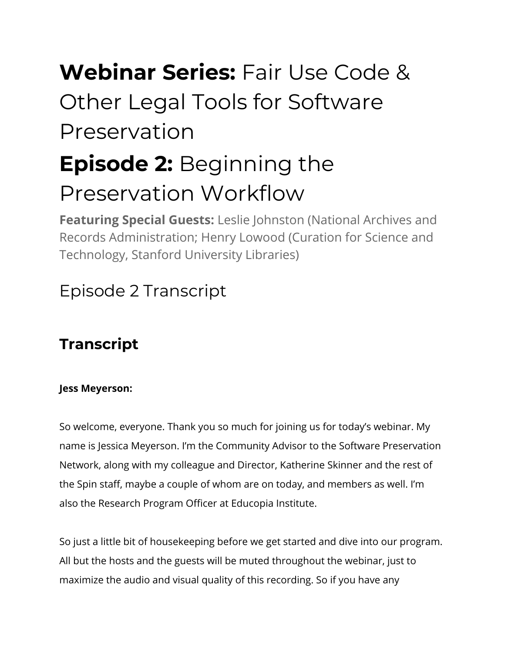# **Webinar Series:** Fair Use Code & Other Legal Tools for Software Preservation

# **Episode 2:** Beginning the Preservation Workflow

**Featuring Special Guests:** Leslie Johnston (National Archives and Records Administration; Henry Lowood (Curation for Science and Technology, Stanford University Libraries)

# Episode 2 Transcript

# **Transcript**

# **Jess Meyerson:**

So welcome, everyone. Thank you so much for joining us for today's webinar. My name is Jessica Meyerson. I'm the Community Advisor to the Software Preservation Network, along with my colleague and Director, Katherine Skinner and the rest of the Spin staff, maybe a couple of whom are on today, and members as well. I'm also the Research Program Officer at Educopia Institute.

So just a little bit of housekeeping before we get started and dive into our program. All but the hosts and the guests will be muted throughout the webinar, just to maximize the audio and visual quality of this recording. So if you have any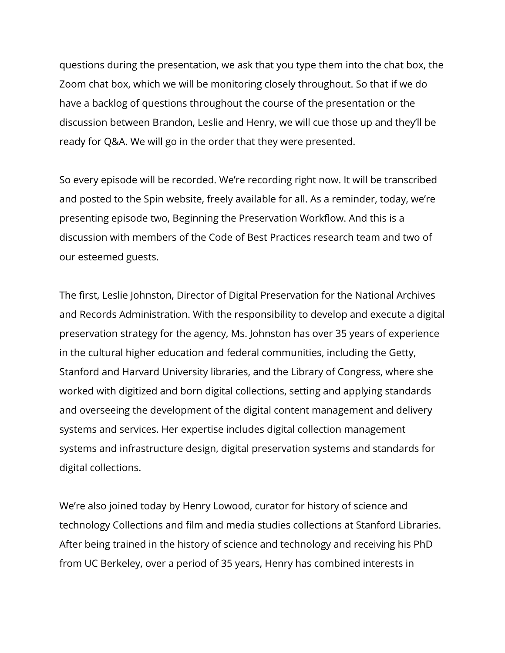questions during the presentation, we ask that you type them into the chat box, the Zoom chat box, which we will be monitoring closely throughout. So that if we do have a backlog of questions throughout the course of the presentation or the discussion between Brandon, Leslie and Henry, we will cue those up and they'll be ready for Q&A. We will go in the order that they were presented.

So every episode will be recorded. We're recording right now. It will be transcribed and posted to the Spin website, freely available for all. As a reminder, today, we're presenting episode two, Beginning the Preservation Workflow. And this is a discussion with members of the Code of Best Practices research team and two of our esteemed guests.

The first, Leslie Johnston, Director of Digital Preservation for the National Archives and Records Administration. With the responsibility to develop and execute a digital preservation strategy for the agency, Ms. Johnston has over 35 years of experience in the cultural higher education and federal communities, including the Getty, Stanford and Harvard University libraries, and the Library of Congress, where she worked with digitized and born digital collections, setting and applying standards and overseeing the development of the digital content management and delivery systems and services. Her expertise includes digital collection management systems and infrastructure design, digital preservation systems and standards for digital collections.

We're also joined today by Henry Lowood, curator for history of science and technology Collections and film and media studies collections at Stanford Libraries. After being trained in the history of science and technology and receiving his PhD from UC Berkeley, over a period of 35 years, Henry has combined interests in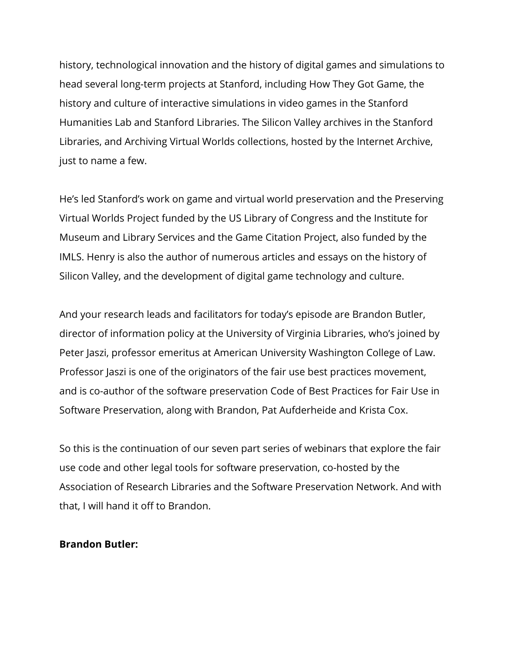history, technological innovation and the history of digital games and simulations to head several long-term projects at Stanford, including How They Got Game, the history and culture of interactive simulations in video games in the Stanford Humanities Lab and Stanford Libraries. The Silicon Valley archives in the Stanford Libraries, and Archiving Virtual Worlds collections, hosted by the Internet Archive, just to name a few.

He's led Stanford's work on game and virtual world preservation and the Preserving Virtual Worlds Project funded by the US Library of Congress and the Institute for Museum and Library Services and the Game Citation Project, also funded by the IMLS. Henry is also the author of numerous articles and essays on the history of Silicon Valley, and the development of digital game technology and culture.

And your research leads and facilitators for today's episode are Brandon Butler, director of information policy at the University of Virginia Libraries, who's joined by Peter Jaszi, professor emeritus at American University Washington College of Law. Professor Jaszi is one of the originators of the fair use best practices movement, and is co-author of the software preservation Code of Best Practices for Fair Use in Software Preservation, along with Brandon, Pat Aufderheide and Krista Cox.

So this is the continuation of our seven part series of webinars that explore the fair use code and other legal tools for software preservation, co-hosted by the Association of Research Libraries and the Software Preservation Network. And with that, I will hand it off to Brandon.

#### **Brandon Butler:**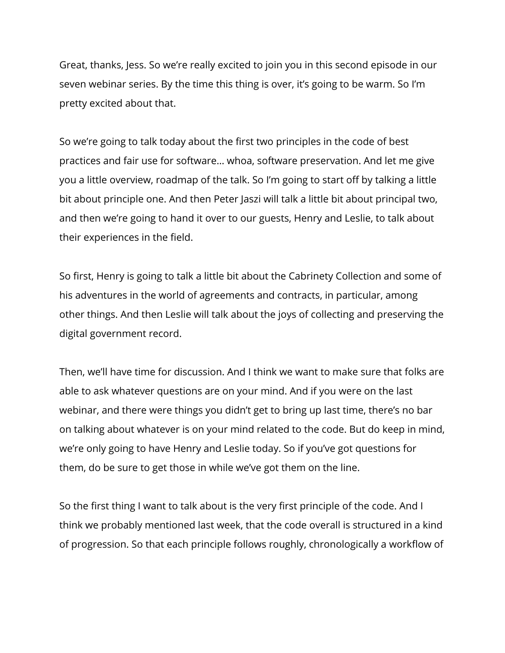Great, thanks, Jess. So we're really excited to join you in this second episode in our seven webinar series. By the time this thing is over, it's going to be warm. So I'm pretty excited about that.

So we're going to talk today about the first two principles in the code of best practices and fair use for software… whoa, software preservation. And let me give you a little overview, roadmap of the talk. So I'm going to start off by talking a little bit about principle one. And then Peter Jaszi will talk a little bit about principal two, and then we're going to hand it over to our guests, Henry and Leslie, to talk about their experiences in the field.

So first, Henry is going to talk a little bit about the Cabrinety Collection and some of his adventures in the world of agreements and contracts, in particular, among other things. And then Leslie will talk about the joys of collecting and preserving the digital government record.

Then, we'll have time for discussion. And I think we want to make sure that folks are able to ask whatever questions are on your mind. And if you were on the last webinar, and there were things you didn't get to bring up last time, there's no bar on talking about whatever is on your mind related to the code. But do keep in mind, we're only going to have Henry and Leslie today. So if you've got questions for them, do be sure to get those in while we've got them on the line.

So the first thing I want to talk about is the very first principle of the code. And I think we probably mentioned last week, that the code overall is structured in a kind of progression. So that each principle follows roughly, chronologically a workflow of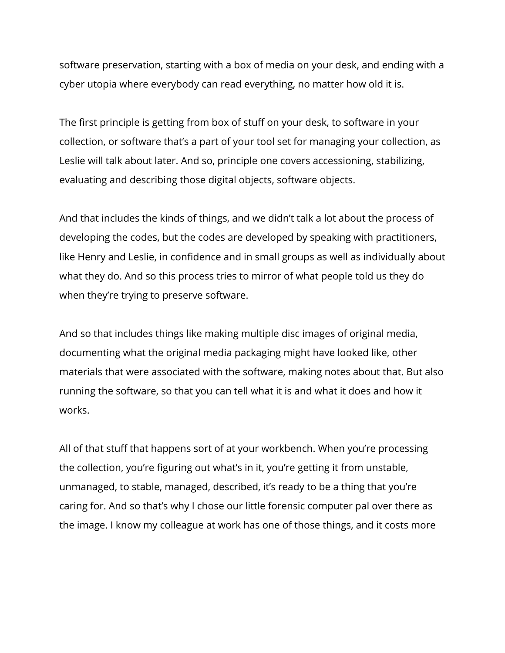software preservation, starting with a box of media on your desk, and ending with a cyber utopia where everybody can read everything, no matter how old it is.

The first principle is getting from box of stuff on your desk, to software in your collection, or software that's a part of your tool set for managing your collection, as Leslie will talk about later. And so, principle one covers accessioning, stabilizing, evaluating and describing those digital objects, software objects.

And that includes the kinds of things, and we didn't talk a lot about the process of developing the codes, but the codes are developed by speaking with practitioners, like Henry and Leslie, in confidence and in small groups as well as individually about what they do. And so this process tries to mirror of what people told us they do when they're trying to preserve software.

And so that includes things like making multiple disc images of original media, documenting what the original media packaging might have looked like, other materials that were associated with the software, making notes about that. But also running the software, so that you can tell what it is and what it does and how it works.

All of that stuff that happens sort of at your workbench. When you're processing the collection, you're figuring out what's in it, you're getting it from unstable, unmanaged, to stable, managed, described, it's ready to be a thing that you're caring for. And so that's why I chose our little forensic computer pal over there as the image. I know my colleague at work has one of those things, and it costs more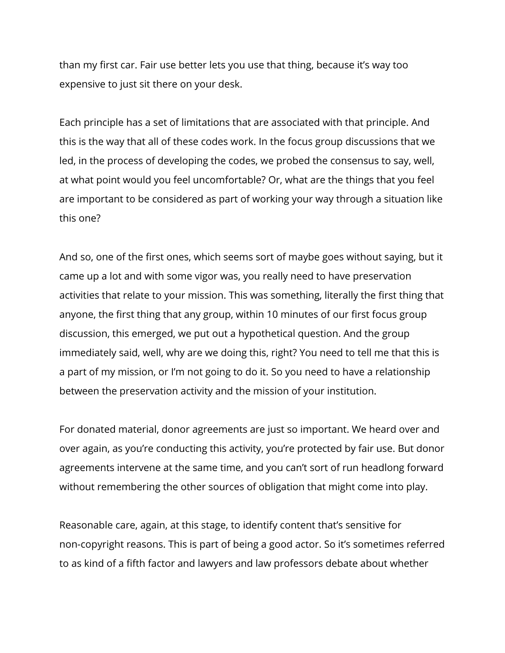than my first car. Fair use better lets you use that thing, because it's way too expensive to just sit there on your desk.

Each principle has a set of limitations that are associated with that principle. And this is the way that all of these codes work. In the focus group discussions that we led, in the process of developing the codes, we probed the consensus to say, well, at what point would you feel uncomfortable? Or, what are the things that you feel are important to be considered as part of working your way through a situation like this one?

And so, one of the first ones, which seems sort of maybe goes without saying, but it came up a lot and with some vigor was, you really need to have preservation activities that relate to your mission. This was something, literally the first thing that anyone, the first thing that any group, within 10 minutes of our first focus group discussion, this emerged, we put out a hypothetical question. And the group immediately said, well, why are we doing this, right? You need to tell me that this is a part of my mission, or I'm not going to do it. So you need to have a relationship between the preservation activity and the mission of your institution.

For donated material, donor agreements are just so important. We heard over and over again, as you're conducting this activity, you're protected by fair use. But donor agreements intervene at the same time, and you can't sort of run headlong forward without remembering the other sources of obligation that might come into play.

Reasonable care, again, at this stage, to identify content that's sensitive for non-copyright reasons. This is part of being a good actor. So it's sometimes referred to as kind of a fifth factor and lawyers and law professors debate about whether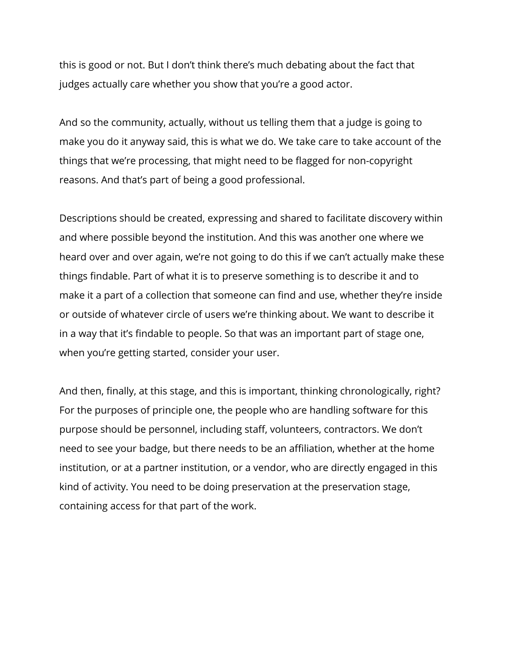this is good or not. But I don't think there's much debating about the fact that judges actually care whether you show that you're a good actor.

And so the community, actually, without us telling them that a judge is going to make you do it anyway said, this is what we do. We take care to take account of the things that we're processing, that might need to be flagged for non-copyright reasons. And that's part of being a good professional.

Descriptions should be created, expressing and shared to facilitate discovery within and where possible beyond the institution. And this was another one where we heard over and over again, we're not going to do this if we can't actually make these things findable. Part of what it is to preserve something is to describe it and to make it a part of a collection that someone can find and use, whether they're inside or outside of whatever circle of users we're thinking about. We want to describe it in a way that it's findable to people. So that was an important part of stage one, when you're getting started, consider your user.

And then, finally, at this stage, and this is important, thinking chronologically, right? For the purposes of principle one, the people who are handling software for this purpose should be personnel, including staff, volunteers, contractors. We don't need to see your badge, but there needs to be an affiliation, whether at the home institution, or at a partner institution, or a vendor, who are directly engaged in this kind of activity. You need to be doing preservation at the preservation stage, containing access for that part of the work.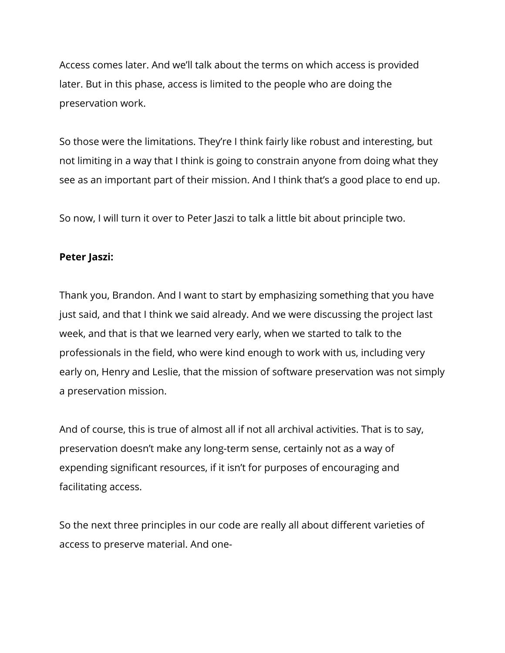Access comes later. And we'll talk about the terms on which access is provided later. But in this phase, access is limited to the people who are doing the preservation work.

So those were the limitations. They're I think fairly like robust and interesting, but not limiting in a way that I think is going to constrain anyone from doing what they see as an important part of their mission. And I think that's a good place to end up.

So now, I will turn it over to Peter Jaszi to talk a little bit about principle two.

#### **Peter Jaszi:**

Thank you, Brandon. And I want to start by emphasizing something that you have just said, and that I think we said already. And we were discussing the project last week, and that is that we learned very early, when we started to talk to the professionals in the field, who were kind enough to work with us, including very early on, Henry and Leslie, that the mission of software preservation was not simply a preservation mission.

And of course, this is true of almost all if not all archival activities. That is to say, preservation doesn't make any long-term sense, certainly not as a way of expending significant resources, if it isn't for purposes of encouraging and facilitating access.

So the next three principles in our code are really all about different varieties of access to preserve material. And one-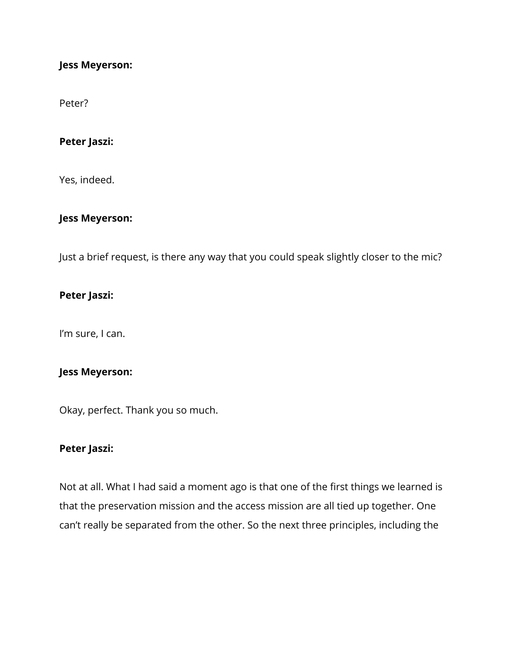#### **Jess Meyerson:**

Peter?

#### **Peter Jaszi:**

Yes, indeed.

#### **Jess Meyerson:**

Just a brief request, is there any way that you could speak slightly closer to the mic?

#### **Peter Jaszi:**

I'm sure, I can.

#### **Jess Meyerson:**

Okay, perfect. Thank you so much.

#### **Peter Jaszi:**

Not at all. What I had said a moment ago is that one of the first things we learned is that the preservation mission and the access mission are all tied up together. One can't really be separated from the other. So the next three principles, including the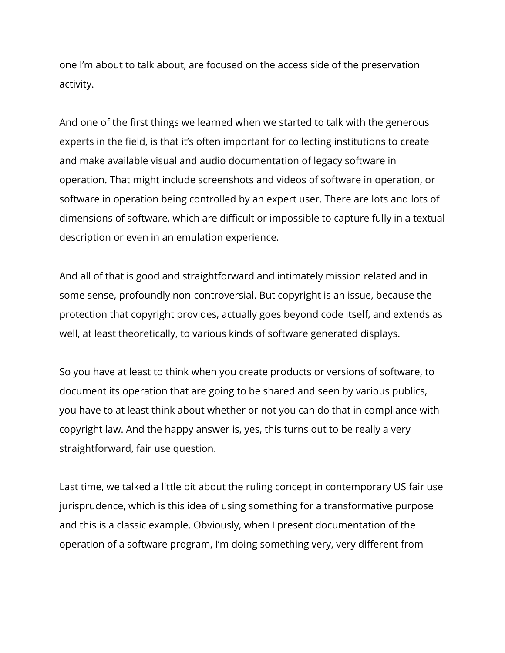one I'm about to talk about, are focused on the access side of the preservation activity.

And one of the first things we learned when we started to talk with the generous experts in the field, is that it's often important for collecting institutions to create and make available visual and audio documentation of legacy software in operation. That might include screenshots and videos of software in operation, or software in operation being controlled by an expert user. There are lots and lots of dimensions of software, which are difficult or impossible to capture fully in a textual description or even in an emulation experience.

And all of that is good and straightforward and intimately mission related and in some sense, profoundly non-controversial. But copyright is an issue, because the protection that copyright provides, actually goes beyond code itself, and extends as well, at least theoretically, to various kinds of software generated displays.

So you have at least to think when you create products or versions of software, to document its operation that are going to be shared and seen by various publics, you have to at least think about whether or not you can do that in compliance with copyright law. And the happy answer is, yes, this turns out to be really a very straightforward, fair use question.

Last time, we talked a little bit about the ruling concept in contemporary US fair use jurisprudence, which is this idea of using something for a transformative purpose and this is a classic example. Obviously, when I present documentation of the operation of a software program, I'm doing something very, very different from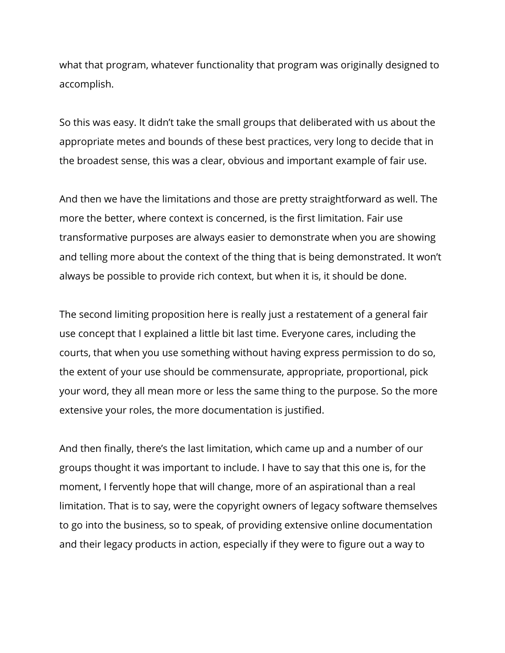what that program, whatever functionality that program was originally designed to accomplish.

So this was easy. It didn't take the small groups that deliberated with us about the appropriate metes and bounds of these best practices, very long to decide that in the broadest sense, this was a clear, obvious and important example of fair use.

And then we have the limitations and those are pretty straightforward as well. The more the better, where context is concerned, is the first limitation. Fair use transformative purposes are always easier to demonstrate when you are showing and telling more about the context of the thing that is being demonstrated. It won't always be possible to provide rich context, but when it is, it should be done.

The second limiting proposition here is really just a restatement of a general fair use concept that I explained a little bit last time. Everyone cares, including the courts, that when you use something without having express permission to do so, the extent of your use should be commensurate, appropriate, proportional, pick your word, they all mean more or less the same thing to the purpose. So the more extensive your roles, the more documentation is justified.

And then finally, there's the last limitation, which came up and a number of our groups thought it was important to include. I have to say that this one is, for the moment, I fervently hope that will change, more of an aspirational than a real limitation. That is to say, were the copyright owners of legacy software themselves to go into the business, so to speak, of providing extensive online documentation and their legacy products in action, especially if they were to figure out a way to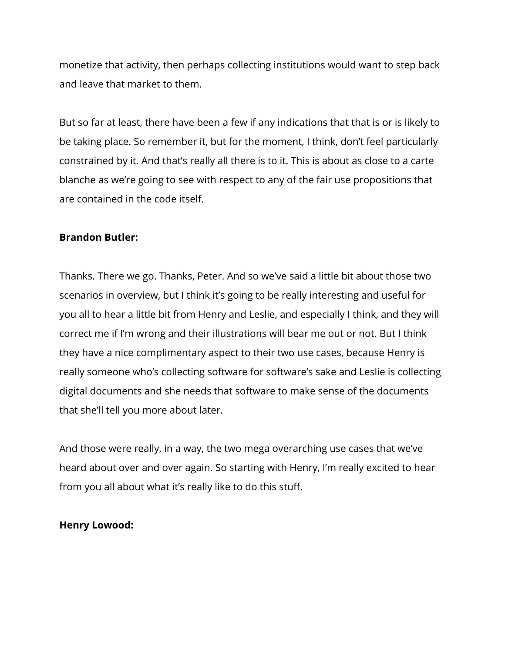monetize that activity, then perhaps collecting institutions would want to step back and leave that market to them.

But so far at least, there have been a few if any indications that that is or is likely to be taking place. So remember it, but for the moment, I think, don't feel particularly constrained by it. And that's really all there is to it. This is about as close to a carte blanche as we're going to see with respect to any of the fair use propositions that are contained in the code itself.

#### **Brandon Butler:**

Thanks. There we go. Thanks, Peter. And so we've said a little bit about those two scenarios in overview, but I think it's going to be really interesting and useful for you all to hear a little bit from Henry and Leslie, and especially I think, and they will correct me if I'm wrong and their illustrations will bear me out or not. But I think they have a nice complimentary aspect to their two use cases, because Henry is really someone who's collecting software for software's sake and Leslie is collecting digital documents and she needs that software to make sense of the documents that she'll tell you more about later.

And those were really, in a way, the two mega overarching use cases that we've heard about over and over again. So starting with Henry, I'm really excited to hear from you all about what it's really like to do this stuff.

#### **Henry Lowood:**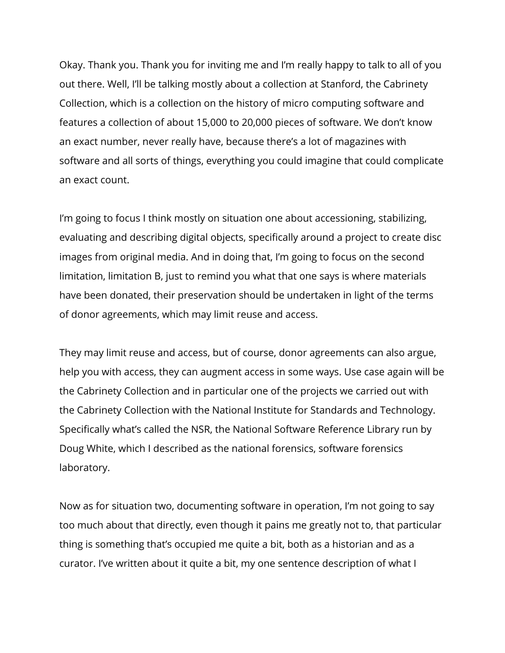Okay. Thank you. Thank you for inviting me and I'm really happy to talk to all of you out there. Well, I'll be talking mostly about a collection at Stanford, the Cabrinety Collection, which is a collection on the history of micro computing software and features a collection of about 15,000 to 20,000 pieces of software. We don't know an exact number, never really have, because there's a lot of magazines with software and all sorts of things, everything you could imagine that could complicate an exact count.

I'm going to focus I think mostly on situation one about accessioning, stabilizing, evaluating and describing digital objects, specifically around a project to create disc images from original media. And in doing that, I'm going to focus on the second limitation, limitation B, just to remind you what that one says is where materials have been donated, their preservation should be undertaken in light of the terms of donor agreements, which may limit reuse and access.

They may limit reuse and access, but of course, donor agreements can also argue, help you with access, they can augment access in some ways. Use case again will be the Cabrinety Collection and in particular one of the projects we carried out with the Cabrinety Collection with the National Institute for Standards and Technology. Specifically what's called the NSR, the National Software Reference Library run by Doug White, which I described as the national forensics, software forensics laboratory.

Now as for situation two, documenting software in operation, I'm not going to say too much about that directly, even though it pains me greatly not to, that particular thing is something that's occupied me quite a bit, both as a historian and as a curator. I've written about it quite a bit, my one sentence description of what I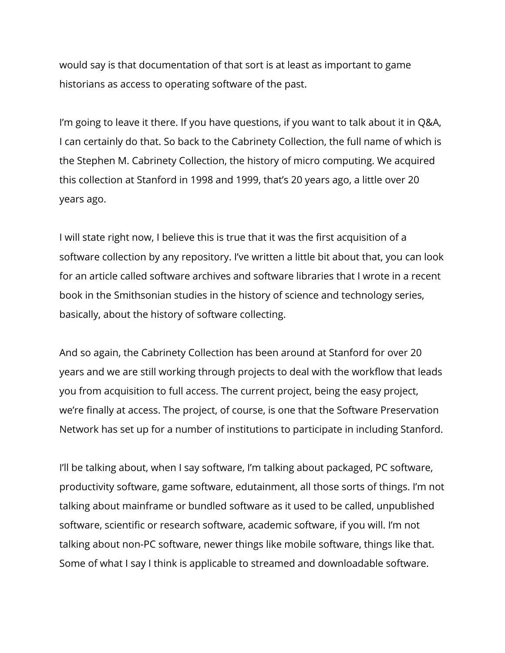would say is that documentation of that sort is at least as important to game historians as access to operating software of the past.

I'm going to leave it there. If you have questions, if you want to talk about it in Q&A, I can certainly do that. So back to the Cabrinety Collection, the full name of which is the Stephen M. Cabrinety Collection, the history of micro computing. We acquired this collection at Stanford in 1998 and 1999, that's 20 years ago, a little over 20 years ago.

I will state right now, I believe this is true that it was the first acquisition of a software collection by any repository. I've written a little bit about that, you can look for an article called software archives and software libraries that I wrote in a recent book in the Smithsonian studies in the history of science and technology series, basically, about the history of software collecting.

And so again, the Cabrinety Collection has been around at Stanford for over 20 years and we are still working through projects to deal with the workflow that leads you from acquisition to full access. The current project, being the easy project, we're finally at access. The project, of course, is one that the Software Preservation Network has set up for a number of institutions to participate in including Stanford.

I'll be talking about, when I say software, I'm talking about packaged, PC software, productivity software, game software, edutainment, all those sorts of things. I'm not talking about mainframe or bundled software as it used to be called, unpublished software, scientific or research software, academic software, if you will. I'm not talking about non-PC software, newer things like mobile software, things like that. Some of what I say I think is applicable to streamed and downloadable software.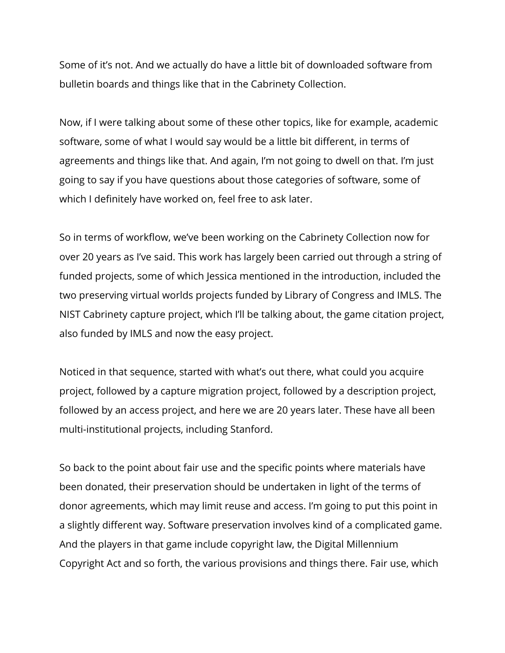Some of it's not. And we actually do have a little bit of downloaded software from bulletin boards and things like that in the Cabrinety Collection.

Now, if I were talking about some of these other topics, like for example, academic software, some of what I would say would be a little bit different, in terms of agreements and things like that. And again, I'm not going to dwell on that. I'm just going to say if you have questions about those categories of software, some of which I definitely have worked on, feel free to ask later.

So in terms of workflow, we've been working on the Cabrinety Collection now for over 20 years as I've said. This work has largely been carried out through a string of funded projects, some of which Jessica mentioned in the introduction, included the two preserving virtual worlds projects funded by Library of Congress and IMLS. The NIST Cabrinety capture project, which I'll be talking about, the game citation project, also funded by IMLS and now the easy project.

Noticed in that sequence, started with what's out there, what could you acquire project, followed by a capture migration project, followed by a description project, followed by an access project, and here we are 20 years later. These have all been multi-institutional projects, including Stanford.

So back to the point about fair use and the specific points where materials have been donated, their preservation should be undertaken in light of the terms of donor agreements, which may limit reuse and access. I'm going to put this point in a slightly different way. Software preservation involves kind of a complicated game. And the players in that game include copyright law, the Digital Millennium Copyright Act and so forth, the various provisions and things there. Fair use, which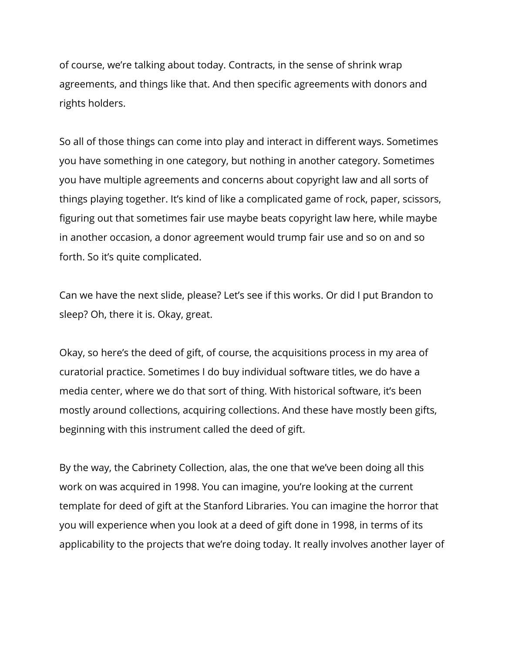of course, we're talking about today. Contracts, in the sense of shrink wrap agreements, and things like that. And then specific agreements with donors and rights holders.

So all of those things can come into play and interact in different ways. Sometimes you have something in one category, but nothing in another category. Sometimes you have multiple agreements and concerns about copyright law and all sorts of things playing together. It's kind of like a complicated game of rock, paper, scissors, figuring out that sometimes fair use maybe beats copyright law here, while maybe in another occasion, a donor agreement would trump fair use and so on and so forth. So it's quite complicated.

Can we have the next slide, please? Let's see if this works. Or did I put Brandon to sleep? Oh, there it is. Okay, great.

Okay, so here's the deed of gift, of course, the acquisitions process in my area of curatorial practice. Sometimes I do buy individual software titles, we do have a media center, where we do that sort of thing. With historical software, it's been mostly around collections, acquiring collections. And these have mostly been gifts, beginning with this instrument called the deed of gift.

By the way, the Cabrinety Collection, alas, the one that we've been doing all this work on was acquired in 1998. You can imagine, you're looking at the current template for deed of gift at the Stanford Libraries. You can imagine the horror that you will experience when you look at a deed of gift done in 1998, in terms of its applicability to the projects that we're doing today. It really involves another layer of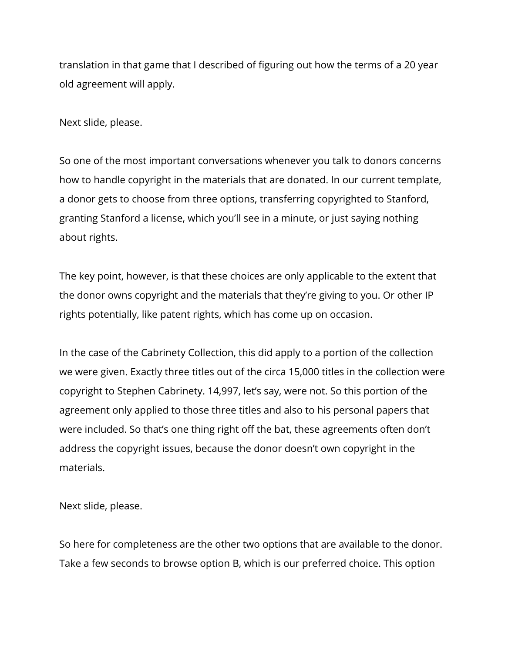translation in that game that I described of figuring out how the terms of a 20 year old agreement will apply.

Next slide, please.

So one of the most important conversations whenever you talk to donors concerns how to handle copyright in the materials that are donated. In our current template, a donor gets to choose from three options, transferring copyrighted to Stanford, granting Stanford a license, which you'll see in a minute, or just saying nothing about rights.

The key point, however, is that these choices are only applicable to the extent that the donor owns copyright and the materials that they're giving to you. Or other IP rights potentially, like patent rights, which has come up on occasion.

In the case of the Cabrinety Collection, this did apply to a portion of the collection we were given. Exactly three titles out of the circa 15,000 titles in the collection were copyright to Stephen Cabrinety. 14,997, let's say, were not. So this portion of the agreement only applied to those three titles and also to his personal papers that were included. So that's one thing right off the bat, these agreements often don't address the copyright issues, because the donor doesn't own copyright in the materials.

Next slide, please.

So here for completeness are the other two options that are available to the donor. Take a few seconds to browse option B, which is our preferred choice. This option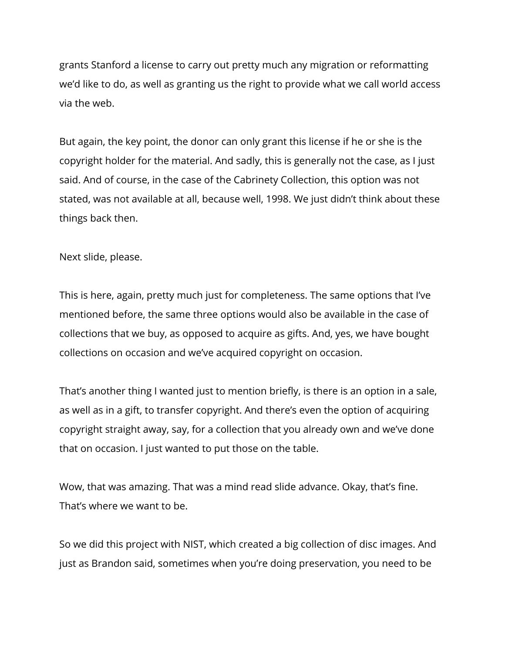grants Stanford a license to carry out pretty much any migration or reformatting we'd like to do, as well as granting us the right to provide what we call world access via the web.

But again, the key point, the donor can only grant this license if he or she is the copyright holder for the material. And sadly, this is generally not the case, as I just said. And of course, in the case of the Cabrinety Collection, this option was not stated, was not available at all, because well, 1998. We just didn't think about these things back then.

Next slide, please.

This is here, again, pretty much just for completeness. The same options that I've mentioned before, the same three options would also be available in the case of collections that we buy, as opposed to acquire as gifts. And, yes, we have bought collections on occasion and we've acquired copyright on occasion.

That's another thing I wanted just to mention briefly, is there is an option in a sale, as well as in a gift, to transfer copyright. And there's even the option of acquiring copyright straight away, say, for a collection that you already own and we've done that on occasion. I just wanted to put those on the table.

Wow, that was amazing. That was a mind read slide advance. Okay, that's fine. That's where we want to be.

So we did this project with NIST, which created a big collection of disc images. And just as Brandon said, sometimes when you're doing preservation, you need to be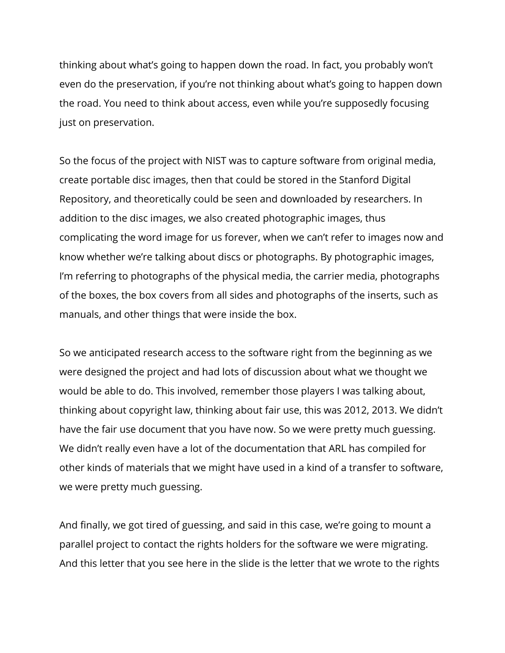thinking about what's going to happen down the road. In fact, you probably won't even do the preservation, if you're not thinking about what's going to happen down the road. You need to think about access, even while you're supposedly focusing just on preservation.

So the focus of the project with NIST was to capture software from original media, create portable disc images, then that could be stored in the Stanford Digital Repository, and theoretically could be seen and downloaded by researchers. In addition to the disc images, we also created photographic images, thus complicating the word image for us forever, when we can't refer to images now and know whether we're talking about discs or photographs. By photographic images, I'm referring to photographs of the physical media, the carrier media, photographs of the boxes, the box covers from all sides and photographs of the inserts, such as manuals, and other things that were inside the box.

So we anticipated research access to the software right from the beginning as we were designed the project and had lots of discussion about what we thought we would be able to do. This involved, remember those players I was talking about, thinking about copyright law, thinking about fair use, this was 2012, 2013. We didn't have the fair use document that you have now. So we were pretty much guessing. We didn't really even have a lot of the documentation that ARL has compiled for other kinds of materials that we might have used in a kind of a transfer to software, we were pretty much guessing.

And finally, we got tired of guessing, and said in this case, we're going to mount a parallel project to contact the rights holders for the software we were migrating. And this letter that you see here in the slide is the letter that we wrote to the rights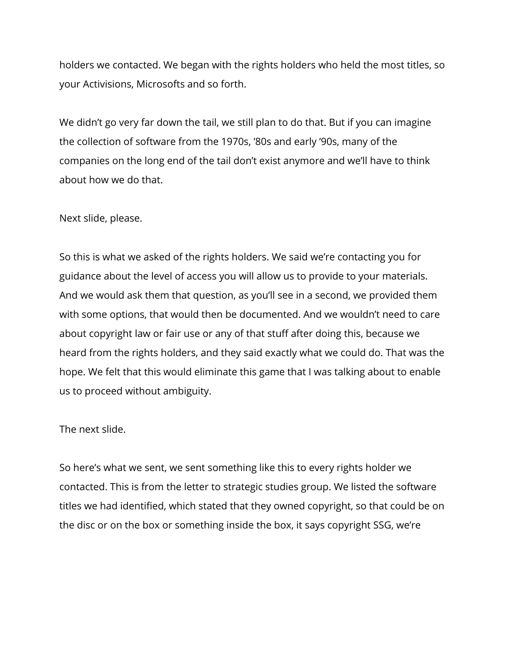holders we contacted. We began with the rights holders who held the most titles, so your Activisions, Microsofts and so forth.

We didn't go very far down the tail, we still plan to do that. But if you can imagine the collection of software from the 1970s, '80s and early '90s, many of the companies on the long end of the tail don't exist anymore and we'll have to think about how we do that.

#### Next slide, please.

So this is what we asked of the rights holders. We said we're contacting you for guidance about the level of access you will allow us to provide to your materials. And we would ask them that question, as you'll see in a second, we provided them with some options, that would then be documented. And we wouldn't need to care about copyright law or fair use or any of that stuff after doing this, because we heard from the rights holders, and they said exactly what we could do. That was the hope. We felt that this would eliminate this game that I was talking about to enable us to proceed without ambiguity.

#### The next slide.

So here's what we sent, we sent something like this to every rights holder we contacted. This is from the letter to strategic studies group. We listed the software titles we had identified, which stated that they owned copyright, so that could be on the disc or on the box or something inside the box, it says copyright SSG, we're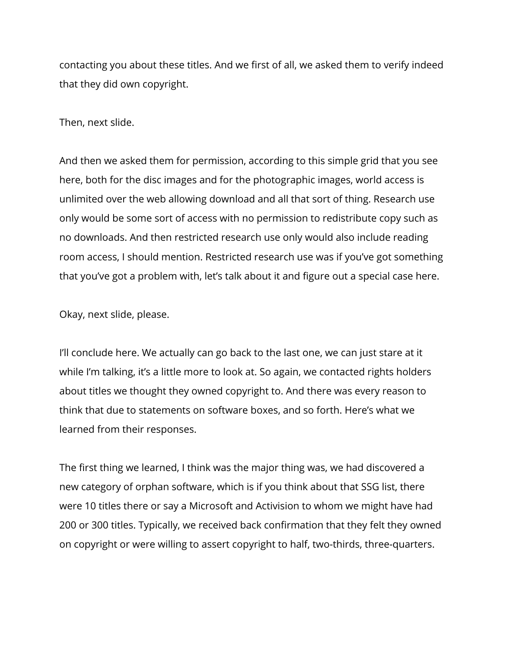contacting you about these titles. And we first of all, we asked them to verify indeed that they did own copyright.

Then, next slide.

And then we asked them for permission, according to this simple grid that you see here, both for the disc images and for the photographic images, world access is unlimited over the web allowing download and all that sort of thing. Research use only would be some sort of access with no permission to redistribute copy such as no downloads. And then restricted research use only would also include reading room access, I should mention. Restricted research use was if you've got something that you've got a problem with, let's talk about it and figure out a special case here.

Okay, next slide, please.

I'll conclude here. We actually can go back to the last one, we can just stare at it while I'm talking, it's a little more to look at. So again, we contacted rights holders about titles we thought they owned copyright to. And there was every reason to think that due to statements on software boxes, and so forth. Here's what we learned from their responses.

The first thing we learned, I think was the major thing was, we had discovered a new category of orphan software, which is if you think about that SSG list, there were 10 titles there or say a Microsoft and Activision to whom we might have had 200 or 300 titles. Typically, we received back confirmation that they felt they owned on copyright or were willing to assert copyright to half, two-thirds, three-quarters.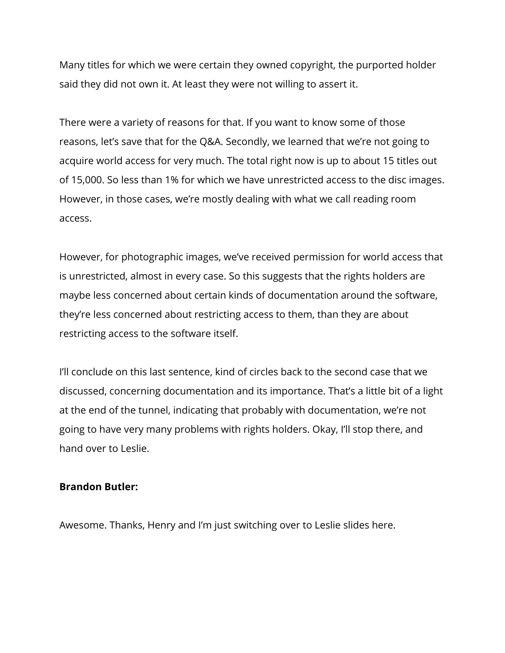Many titles for which we were certain they owned copyright, the purported holder said they did not own it. At least they were not willing to assert it.

There were a variety of reasons for that. If you want to know some of those reasons, let's save that for the Q&A. Secondly, we learned that we're not going to acquire world access for very much. The total right now is up to about 15 titles out of 15,000. So less than 1% for which we have unrestricted access to the disc images. However, in those cases, we're mostly dealing with what we call reading room access.

However, for photographic images, we've received permission for world access that is unrestricted, almost in every case. So this suggests that the rights holders are maybe less concerned about certain kinds of documentation around the software, they're less concerned about restricting access to them, than they are about restricting access to the software itself.

I'll conclude on this last sentence, kind of circles back to the second case that we discussed, concerning documentation and its importance. That's a little bit of a light at the end of the tunnel, indicating that probably with documentation, we're not going to have very many problems with rights holders. Okay, I'll stop there, and hand over to Leslie.

#### **Brandon Butler:**

Awesome. Thanks, Henry and I'm just switching over to Leslie slides here.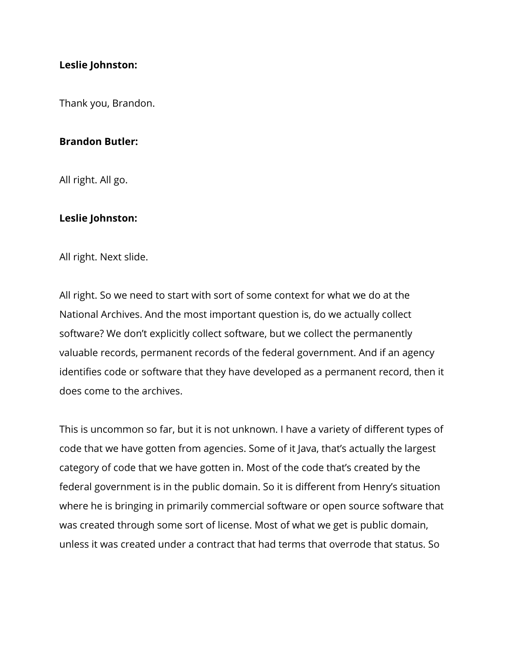#### **Leslie Johnston:**

Thank you, Brandon.

#### **Brandon Butler:**

All right. All go.

#### **Leslie Johnston:**

All right. Next slide.

All right. So we need to start with sort of some context for what we do at the National Archives. And the most important question is, do we actually collect software? We don't explicitly collect software, but we collect the permanently valuable records, permanent records of the federal government. And if an agency identifies code or software that they have developed as a permanent record, then it does come to the archives.

This is uncommon so far, but it is not unknown. I have a variety of different types of code that we have gotten from agencies. Some of it Java, that's actually the largest category of code that we have gotten in. Most of the code that's created by the federal government is in the public domain. So it is different from Henry's situation where he is bringing in primarily commercial software or open source software that was created through some sort of license. Most of what we get is public domain, unless it was created under a contract that had terms that overrode that status. So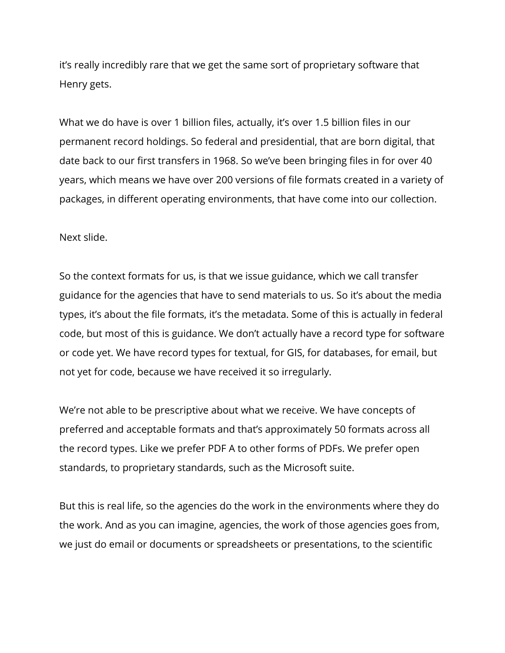it's really incredibly rare that we get the same sort of proprietary software that Henry gets.

What we do have is over 1 billion files, actually, it's over 1.5 billion files in our permanent record holdings. So federal and presidential, that are born digital, that date back to our first transfers in 1968. So we've been bringing files in for over 40 years, which means we have over 200 versions of file formats created in a variety of packages, in different operating environments, that have come into our collection.

Next slide.

So the context formats for us, is that we issue guidance, which we call transfer guidance for the agencies that have to send materials to us. So it's about the media types, it's about the file formats, it's the metadata. Some of this is actually in federal code, but most of this is guidance. We don't actually have a record type for software or code yet. We have record types for textual, for GIS, for databases, for email, but not yet for code, because we have received it so irregularly.

We're not able to be prescriptive about what we receive. We have concepts of preferred and acceptable formats and that's approximately 50 formats across all the record types. Like we prefer PDF A to other forms of PDFs. We prefer open standards, to proprietary standards, such as the Microsoft suite.

But this is real life, so the agencies do the work in the environments where they do the work. And as you can imagine, agencies, the work of those agencies goes from, we just do email or documents or spreadsheets or presentations, to the scientific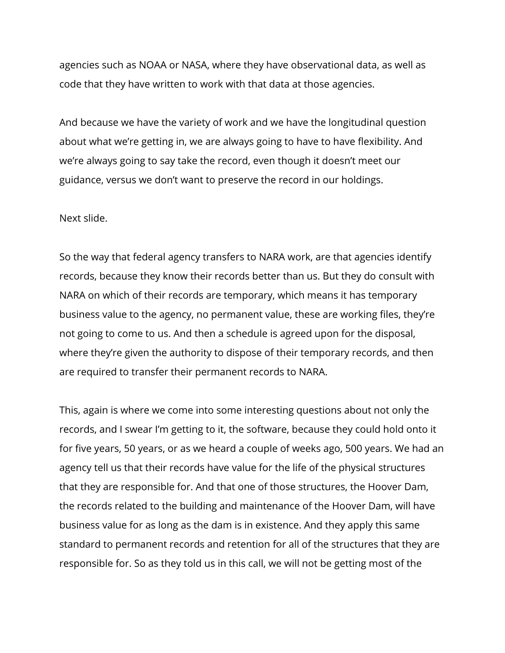agencies such as NOAA or NASA, where they have observational data, as well as code that they have written to work with that data at those agencies.

And because we have the variety of work and we have the longitudinal question about what we're getting in, we are always going to have to have flexibility. And we're always going to say take the record, even though it doesn't meet our guidance, versus we don't want to preserve the record in our holdings.

#### Next slide.

So the way that federal agency transfers to NARA work, are that agencies identify records, because they know their records better than us. But they do consult with NARA on which of their records are temporary, which means it has temporary business value to the agency, no permanent value, these are working files, they're not going to come to us. And then a schedule is agreed upon for the disposal, where they're given the authority to dispose of their temporary records, and then are required to transfer their permanent records to NARA.

This, again is where we come into some interesting questions about not only the records, and I swear I'm getting to it, the software, because they could hold onto it for five years, 50 years, or as we heard a couple of weeks ago, 500 years. We had an agency tell us that their records have value for the life of the physical structures that they are responsible for. And that one of those structures, the Hoover Dam, the records related to the building and maintenance of the Hoover Dam, will have business value for as long as the dam is in existence. And they apply this same standard to permanent records and retention for all of the structures that they are responsible for. So as they told us in this call, we will not be getting most of the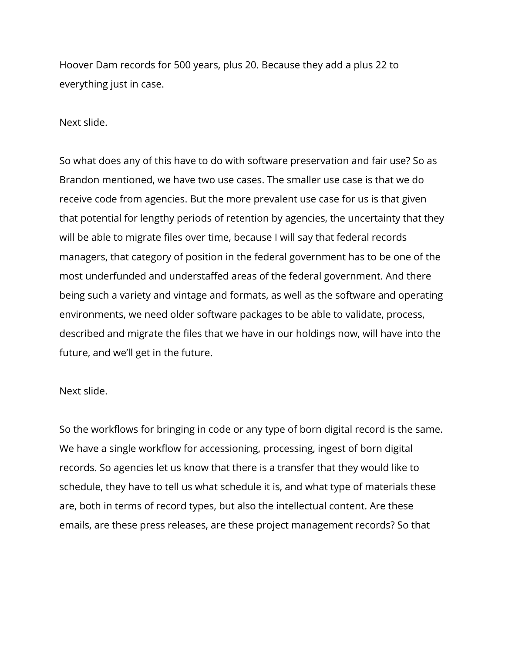Hoover Dam records for 500 years, plus 20. Because they add a plus 22 to everything just in case.

Next slide.

So what does any of this have to do with software preservation and fair use? So as Brandon mentioned, we have two use cases. The smaller use case is that we do receive code from agencies. But the more prevalent use case for us is that given that potential for lengthy periods of retention by agencies, the uncertainty that they will be able to migrate files over time, because I will say that federal records managers, that category of position in the federal government has to be one of the most underfunded and understaffed areas of the federal government. And there being such a variety and vintage and formats, as well as the software and operating environments, we need older software packages to be able to validate, process, described and migrate the files that we have in our holdings now, will have into the future, and we'll get in the future.

#### Next slide.

So the workflows for bringing in code or any type of born digital record is the same. We have a single workflow for accessioning, processing, ingest of born digital records. So agencies let us know that there is a transfer that they would like to schedule, they have to tell us what schedule it is, and what type of materials these are, both in terms of record types, but also the intellectual content. Are these emails, are these press releases, are these project management records? So that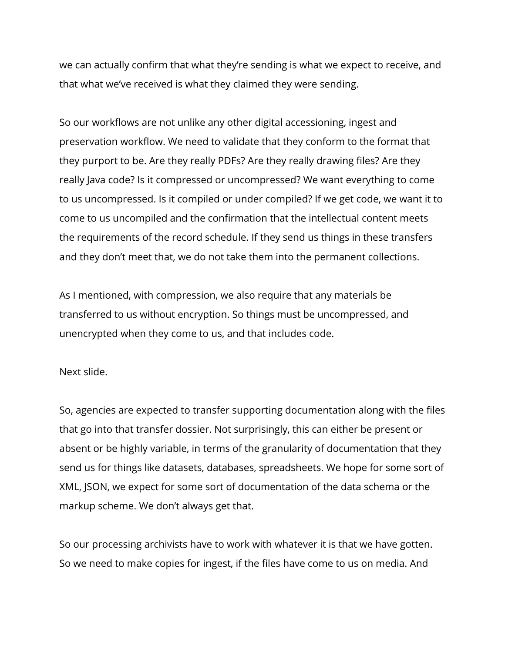we can actually confirm that what they're sending is what we expect to receive, and that what we've received is what they claimed they were sending.

So our workflows are not unlike any other digital accessioning, ingest and preservation workflow. We need to validate that they conform to the format that they purport to be. Are they really PDFs? Are they really drawing files? Are they really Java code? Is it compressed or uncompressed? We want everything to come to us uncompressed. Is it compiled or under compiled? If we get code, we want it to come to us uncompiled and the confirmation that the intellectual content meets the requirements of the record schedule. If they send us things in these transfers and they don't meet that, we do not take them into the permanent collections.

As I mentioned, with compression, we also require that any materials be transferred to us without encryption. So things must be uncompressed, and unencrypted when they come to us, and that includes code.

Next slide.

So, agencies are expected to transfer supporting documentation along with the files that go into that transfer dossier. Not surprisingly, this can either be present or absent or be highly variable, in terms of the granularity of documentation that they send us for things like datasets, databases, spreadsheets. We hope for some sort of XML, JSON, we expect for some sort of documentation of the data schema or the markup scheme. We don't always get that.

So our processing archivists have to work with whatever it is that we have gotten. So we need to make copies for ingest, if the files have come to us on media. And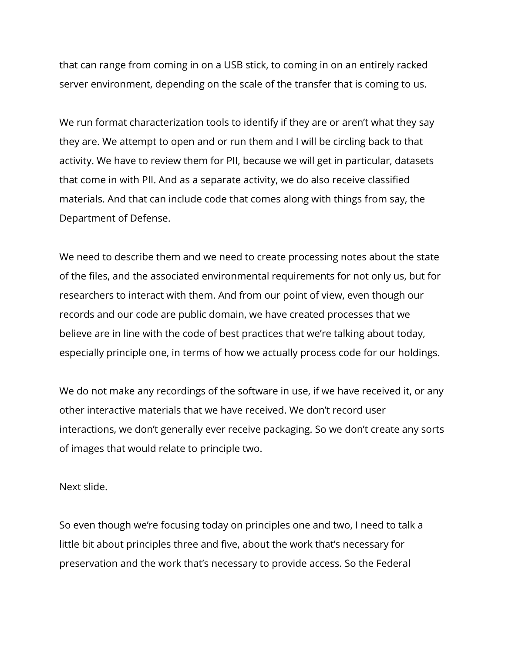that can range from coming in on a USB stick, to coming in on an entirely racked server environment, depending on the scale of the transfer that is coming to us.

We run format characterization tools to identify if they are or aren't what they say they are. We attempt to open and or run them and I will be circling back to that activity. We have to review them for PII, because we will get in particular, datasets that come in with PII. And as a separate activity, we do also receive classified materials. And that can include code that comes along with things from say, the Department of Defense.

We need to describe them and we need to create processing notes about the state of the files, and the associated environmental requirements for not only us, but for researchers to interact with them. And from our point of view, even though our records and our code are public domain, we have created processes that we believe are in line with the code of best practices that we're talking about today, especially principle one, in terms of how we actually process code for our holdings.

We do not make any recordings of the software in use, if we have received it, or any other interactive materials that we have received. We don't record user interactions, we don't generally ever receive packaging. So we don't create any sorts of images that would relate to principle two.

Next slide.

So even though we're focusing today on principles one and two, I need to talk a little bit about principles three and five, about the work that's necessary for preservation and the work that's necessary to provide access. So the Federal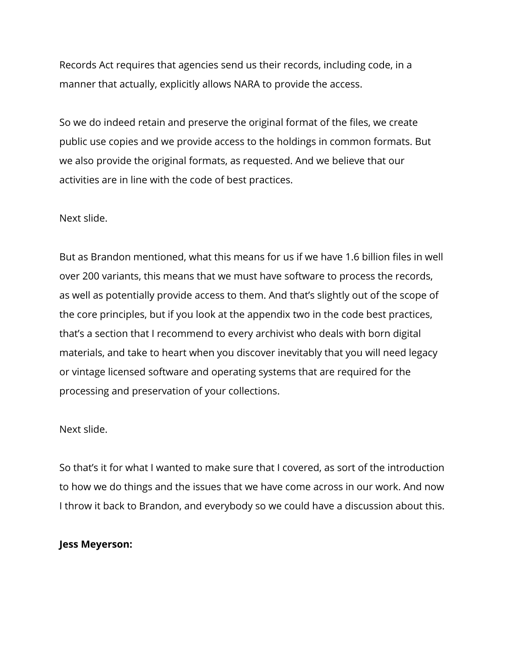Records Act requires that agencies send us their records, including code, in a manner that actually, explicitly allows NARA to provide the access.

So we do indeed retain and preserve the original format of the files, we create public use copies and we provide access to the holdings in common formats. But we also provide the original formats, as requested. And we believe that our activities are in line with the code of best practices.

#### Next slide.

But as Brandon mentioned, what this means for us if we have 1.6 billion files in well over 200 variants, this means that we must have software to process the records, as well as potentially provide access to them. And that's slightly out of the scope of the core principles, but if you look at the appendix two in the code best practices, that's a section that I recommend to every archivist who deals with born digital materials, and take to heart when you discover inevitably that you will need legacy or vintage licensed software and operating systems that are required for the processing and preservation of your collections.

#### Next slide.

So that's it for what I wanted to make sure that I covered, as sort of the introduction to how we do things and the issues that we have come across in our work. And now I throw it back to Brandon, and everybody so we could have a discussion about this.

#### **Jess Meyerson:**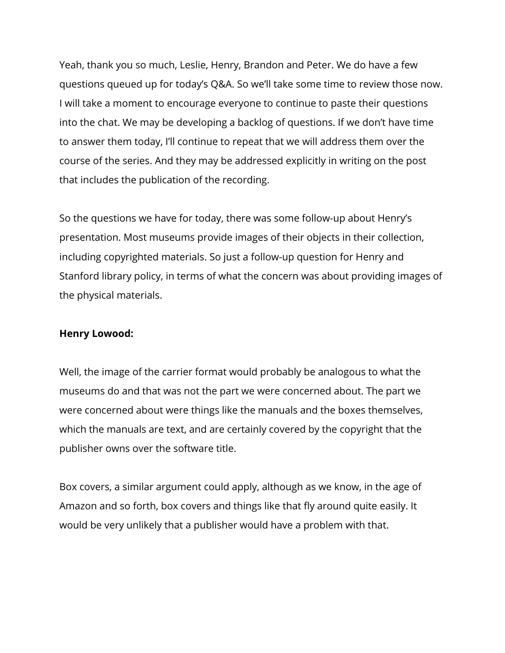Yeah, thank you so much, Leslie, Henry, Brandon and Peter. We do have a few questions queued up for today's Q&A. So we'll take some time to review those now. I will take a moment to encourage everyone to continue to paste their questions into the chat. We may be developing a backlog of questions. If we don't have time to answer them today, I'll continue to repeat that we will address them over the course of the series. And they may be addressed explicitly in writing on the post that includes the publication of the recording.

So the questions we have for today, there was some follow-up about Henry's presentation. Most museums provide images of their objects in their collection, including copyrighted materials. So just a follow-up question for Henry and Stanford library policy, in terms of what the concern was about providing images of the physical materials.

#### **Henry Lowood:**

Well, the image of the carrier format would probably be analogous to what the museums do and that was not the part we were concerned about. The part we were concerned about were things like the manuals and the boxes themselves, which the manuals are text, and are certainly covered by the copyright that the publisher owns over the software title.

Box covers, a similar argument could apply, although as we know, in the age of Amazon and so forth, box covers and things like that fly around quite easily. It would be very unlikely that a publisher would have a problem with that.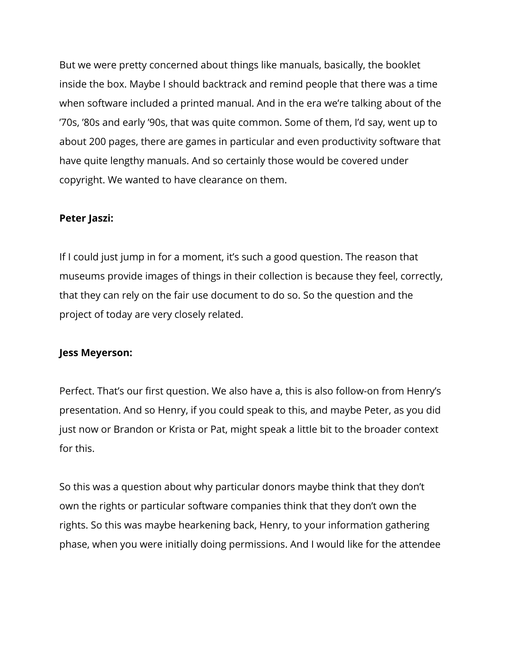But we were pretty concerned about things like manuals, basically, the booklet inside the box. Maybe I should backtrack and remind people that there was a time when software included a printed manual. And in the era we're talking about of the '70s, '80s and early '90s, that was quite common. Some of them, I'd say, went up to about 200 pages, there are games in particular and even productivity software that have quite lengthy manuals. And so certainly those would be covered under copyright. We wanted to have clearance on them.

#### **Peter Jaszi:**

If I could just jump in for a moment, it's such a good question. The reason that museums provide images of things in their collection is because they feel, correctly, that they can rely on the fair use document to do so. So the question and the project of today are very closely related.

#### **Jess Meyerson:**

Perfect. That's our first question. We also have a, this is also follow-on from Henry's presentation. And so Henry, if you could speak to this, and maybe Peter, as you did just now or Brandon or Krista or Pat, might speak a little bit to the broader context for this.

So this was a question about why particular donors maybe think that they don't own the rights or particular software companies think that they don't own the rights. So this was maybe hearkening back, Henry, to your information gathering phase, when you were initially doing permissions. And I would like for the attendee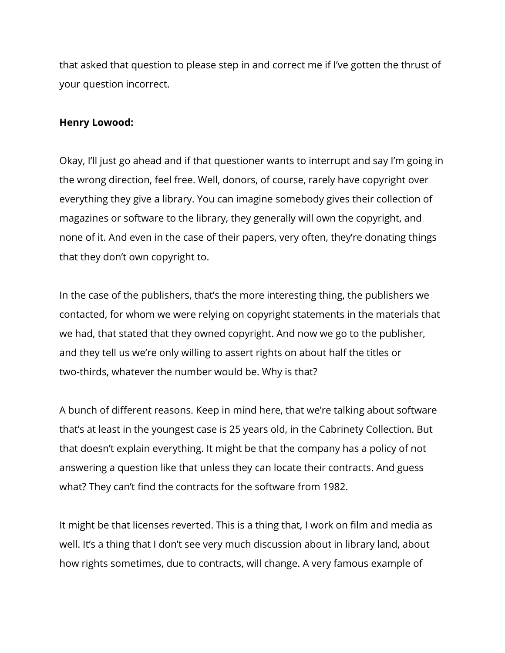that asked that question to please step in and correct me if I've gotten the thrust of your question incorrect.

#### **Henry Lowood:**

Okay, I'll just go ahead and if that questioner wants to interrupt and say I'm going in the wrong direction, feel free. Well, donors, of course, rarely have copyright over everything they give a library. You can imagine somebody gives their collection of magazines or software to the library, they generally will own the copyright, and none of it. And even in the case of their papers, very often, they're donating things that they don't own copyright to.

In the case of the publishers, that's the more interesting thing, the publishers we contacted, for whom we were relying on copyright statements in the materials that we had, that stated that they owned copyright. And now we go to the publisher, and they tell us we're only willing to assert rights on about half the titles or two-thirds, whatever the number would be. Why is that?

A bunch of different reasons. Keep in mind here, that we're talking about software that's at least in the youngest case is 25 years old, in the Cabrinety Collection. But that doesn't explain everything. It might be that the company has a policy of not answering a question like that unless they can locate their contracts. And guess what? They can't find the contracts for the software from 1982.

It might be that licenses reverted. This is a thing that, I work on film and media as well. It's a thing that I don't see very much discussion about in library land, about how rights sometimes, due to contracts, will change. A very famous example of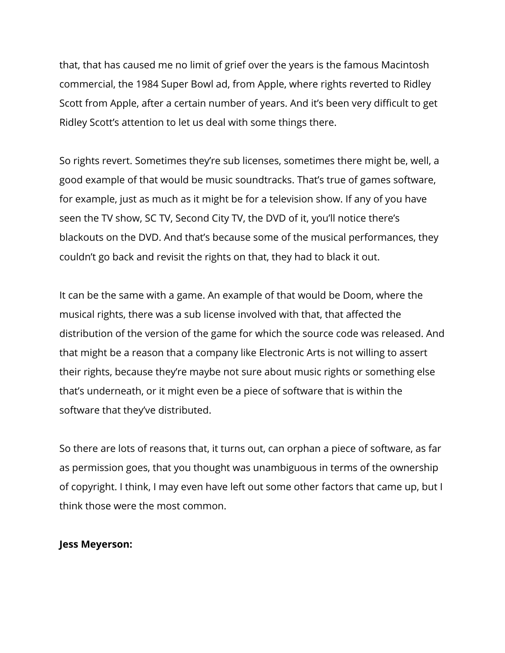that, that has caused me no limit of grief over the years is the famous Macintosh commercial, the 1984 Super Bowl ad, from Apple, where rights reverted to Ridley Scott from Apple, after a certain number of years. And it's been very difficult to get Ridley Scott's attention to let us deal with some things there.

So rights revert. Sometimes they're sub licenses, sometimes there might be, well, a good example of that would be music soundtracks. That's true of games software, for example, just as much as it might be for a television show. If any of you have seen the TV show, SC TV, Second City TV, the DVD of it, you'll notice there's blackouts on the DVD. And that's because some of the musical performances, they couldn't go back and revisit the rights on that, they had to black it out.

It can be the same with a game. An example of that would be Doom, where the musical rights, there was a sub license involved with that, that affected the distribution of the version of the game for which the source code was released. And that might be a reason that a company like Electronic Arts is not willing to assert their rights, because they're maybe not sure about music rights or something else that's underneath, or it might even be a piece of software that is within the software that they've distributed.

So there are lots of reasons that, it turns out, can orphan a piece of software, as far as permission goes, that you thought was unambiguous in terms of the ownership of copyright. I think, I may even have left out some other factors that came up, but I think those were the most common.

#### **Jess Meyerson:**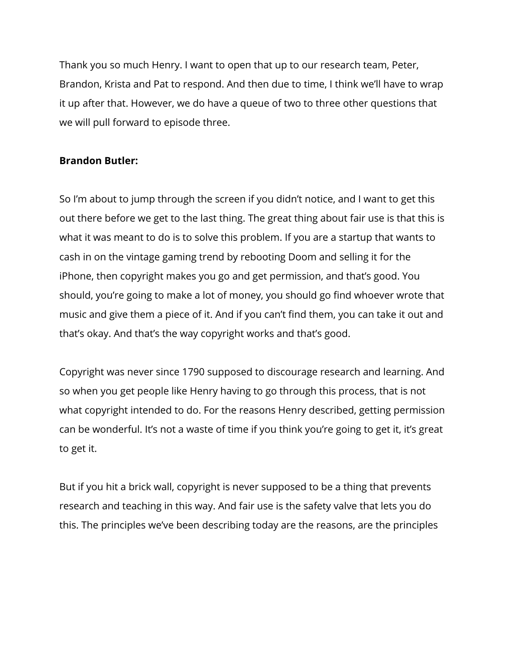Thank you so much Henry. I want to open that up to our research team, Peter, Brandon, Krista and Pat to respond. And then due to time, I think we'll have to wrap it up after that. However, we do have a queue of two to three other questions that we will pull forward to episode three.

### **Brandon Butler:**

So I'm about to jump through the screen if you didn't notice, and I want to get this out there before we get to the last thing. The great thing about fair use is that this is what it was meant to do is to solve this problem. If you are a startup that wants to cash in on the vintage gaming trend by rebooting Doom and selling it for the iPhone, then copyright makes you go and get permission, and that's good. You should, you're going to make a lot of money, you should go find whoever wrote that music and give them a piece of it. And if you can't find them, you can take it out and that's okay. And that's the way copyright works and that's good.

Copyright was never since 1790 supposed to discourage research and learning. And so when you get people like Henry having to go through this process, that is not what copyright intended to do. For the reasons Henry described, getting permission can be wonderful. It's not a waste of time if you think you're going to get it, it's great to get it.

But if you hit a brick wall, copyright is never supposed to be a thing that prevents research and teaching in this way. And fair use is the safety valve that lets you do this. The principles we've been describing today are the reasons, are the principles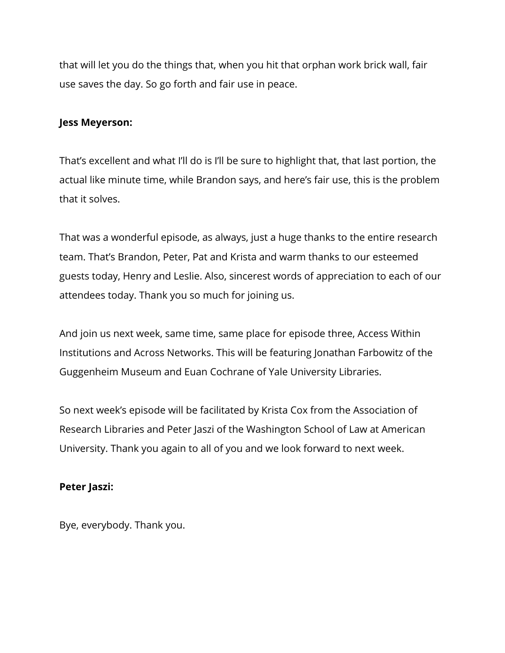that will let you do the things that, when you hit that orphan work brick wall, fair use saves the day. So go forth and fair use in peace.

#### **Jess Meyerson:**

That's excellent and what I'll do is I'll be sure to highlight that, that last portion, the actual like minute time, while Brandon says, and here's fair use, this is the problem that it solves.

That was a wonderful episode, as always, just a huge thanks to the entire research team. That's Brandon, Peter, Pat and Krista and warm thanks to our esteemed guests today, Henry and Leslie. Also, sincerest words of appreciation to each of our attendees today. Thank you so much for joining us.

And join us next week, same time, same place for episode three, Access Within Institutions and Across Networks. This will be featuring Jonathan Farbowitz of the Guggenheim Museum and Euan Cochrane of Yale University Libraries.

So next week's episode will be facilitated by Krista Cox from the Association of Research Libraries and Peter Jaszi of the Washington School of Law at American University. Thank you again to all of you and we look forward to next week.

#### **Peter Jaszi:**

Bye, everybody. Thank you.